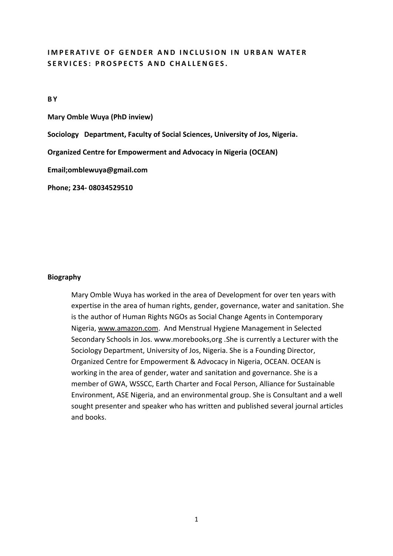# **IMPERATIVE OF GENDER AND INCLUSION IN URBAN WATER** SERVICES: PROSPECTS AND CHALLENGES.

**B Y**

**Mary Omble Wuya (PhD inview)**

**Sociology Department, Faculty of Social Sciences, University of Jos, Nigeria.**

**Organized Centre for Empowerment and Advocacy in Nigeria (OCEAN)**

**Email;omblewuya@gmail.com** 

**Phone; 234- 08034529510**

### **Biography**

Mary Omble Wuya has worked in the area of Development for over ten years with expertise in the area of human rights, gender, governance, water and sanitation. She is the author of Human Rights NGOs as Social Change Agents in Contemporary Nigeria, [www.amazon.com.](http://www.amazon.com/) And Menstrual Hygiene Management in Selected Secondary Schools in Jos. www.morebooks,org .She is currently a Lecturer with the Sociology Department, University of Jos, Nigeria. She is a Founding Director, Organized Centre for Empowerment & Advocacy in Nigeria, OCEAN. OCEAN is working in the area of gender, water and sanitation and governance. She is a member of GWA, WSSCC, Earth Charter and Focal Person, Alliance for Sustainable Environment, ASE Nigeria, and an environmental group. She is Consultant and a well sought presenter and speaker who has written and published several journal articles and books.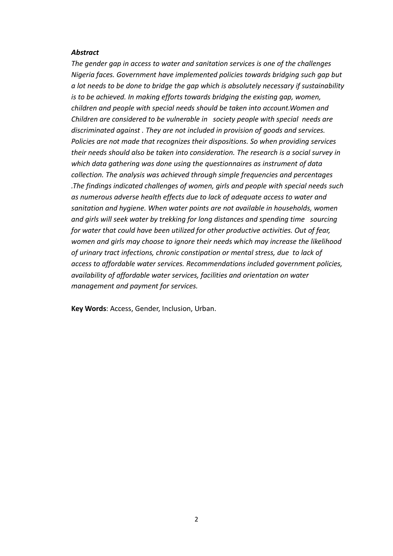#### *Abstract*

*The gender gap in access to water and sanitation services is one of the challenges Nigeria faces. Government have implemented policies towards bridging such gap but a lot needs to be done to bridge the gap which is absolutely necessary if sustainability is to be achieved. In making efforts towards bridging the existing gap, women, children and people with special needs should be taken into account.Women and Children are considered to be vulnerable in society people with special needs are discriminated against . They are not included in provision of goods and services. Policies are not made that recognizes their dispositions. So when providing services their needs should also be taken into consideration. The research is a social survey in which data gathering was done using the questionnaires as instrument of data collection. The analysis was achieved through simple frequencies and percentages .The findings indicated challenges of women, girls and people with special needs such as numerous adverse health effects due to lack of adequate access to water and sanitation and hygiene. When water points are not available in households, women and girls will seek water by trekking for long distances and spending time sourcing for water that could have been utilized for other productive activities. Out of fear, women and girls may choose to ignore their needs which may increase the likelihood of urinary tract infections, chronic constipation or mental stress, due to lack of access to affordable water services. Recommendations included government policies, availability of affordable water services, facilities and orientation on water management and payment for services.* 

**Key Words**: Access, Gender, Inclusion, Urban.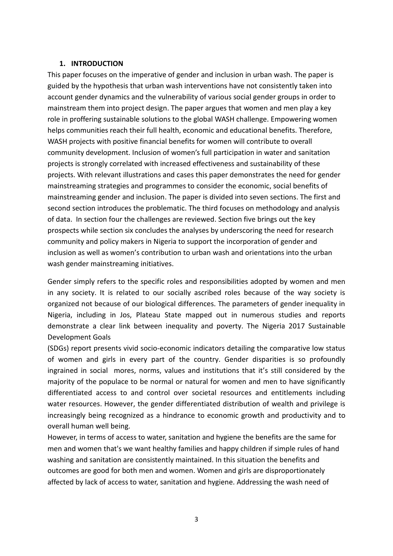## **1. INTRODUCTION**

This paper focuses on the imperative of gender and inclusion in urban wash. The paper is guided by the hypothesis that urban wash interventions have not consistently taken into account gender dynamics and the vulnerability of various social gender groups in order to mainstream them into project design. The paper argues that women and men play a key role in proffering sustainable solutions to the global WASH challenge. Empowering women helps communities reach their full health, economic and educational benefits. Therefore, WASH projects with positive financial benefits for women will contribute to overall community development. Inclusion of women's full participation in water and sanitation projects is strongly correlated with increased effectiveness and sustainability of these projects. With relevant illustrations and cases this paper demonstrates the need for gender mainstreaming strategies and programmes to consider the economic, social benefits of mainstreaming gender and inclusion. The paper is divided into seven sections. The first and second section introduces the problematic. The third focuses on methodology and analysis of data. In section four the challenges are reviewed. Section five brings out the key prospects while section six concludes the analyses by underscoring the need for research community and policy makers in Nigeria to support the incorporation of gender and inclusion as well as women's contribution to urban wash and orientations into the urban wash gender mainstreaming initiatives.

Gender simply refers to the specific roles and responsibilities adopted by women and men in any society. It is related to our socially ascribed roles because of the way society is organized not because of our biological differences. The parameters of gender inequality in Nigeria, including in Jos, Plateau State mapped out in numerous studies and reports demonstrate a clear link between inequality and poverty. The Nigeria 2017 Sustainable Development Goals

(SDGs) report presents vivid socio-economic indicators detailing the comparative low status of women and girls in every part of the country. Gender disparities is so profoundly ingrained in social mores, norms, values and institutions that it's still considered by the majority of the populace to be normal or natural for women and men to have significantly differentiated access to and control over societal resources and entitlements including water resources. However, the gender differentiated distribution of wealth and privilege is increasingly being recognized as a hindrance to economic growth and productivity and to overall human well being.

However, in terms of access to water, sanitation and hygiene the benefits are the same for men and women that's we want healthy families and happy children if simple rules of hand washing and sanitation are consistently maintained. In this situation the benefits and outcomes are good for both men and women. Women and girls are disproportionately affected by lack of access to water, sanitation and hygiene. Addressing the wash need of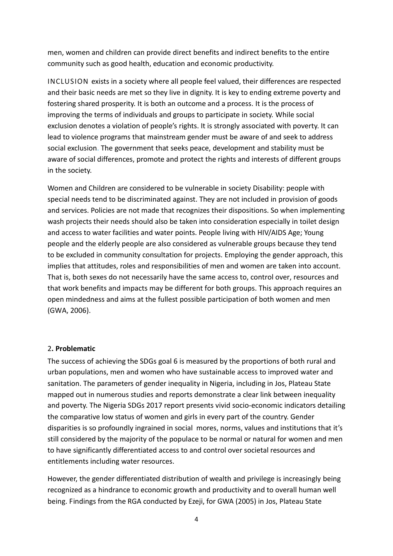men, women and children can provide direct benefits and indirect benefits to the entire community such as good health, education and economic productivity.

INCLUSION exists in a society where all people feel valued, their differences are respected and their basic needs are met so they live in dignity. It is key to ending extreme poverty and fostering shared prosperity. It is both an outcome and a process. It is the process of improving the terms of individuals and groups to participate in society. While social exclusion denotes a violation of people's rights. It is strongly associated with poverty. It can lead to violence programs that mainstream gender must be aware of and seek to address social exclusion. The government that seeks peace, development and stability must be aware of social differences, promote and protect the rights and interests of different groups in the society.

Women and Children are considered to be vulnerable in society Disability: people with special needs tend to be discriminated against. They are not included in provision of goods and services. Policies are not made that recognizes their dispositions. So when implementing wash projects their needs should also be taken into consideration especially in toilet design and access to water facilities and water points. People living with HIV/AIDS Age; Young people and the elderly people are also considered as vulnerable groups because they tend to be excluded in community consultation for projects. Employing the gender approach, this implies that attitudes, roles and responsibilities of men and women are taken into account. That is, both sexes do not necessarily have the same access to, control over, resources and that work benefits and impacts may be different for both groups. This approach requires an open mindedness and aims at the fullest possible participation of both women and men (GWA, 2006).

## 2**. Problematic**

The success of achieving the SDGs goal 6 is measured by the proportions of both rural and urban populations, men and women who have sustainable access to improved water and sanitation. The parameters of gender inequality in Nigeria, including in Jos, Plateau State mapped out in numerous studies and reports demonstrate a clear link between inequality and poverty. The Nigeria SDGs 2017 report presents vivid socio-economic indicators detailing the comparative low status of women and girls in every part of the country. Gender disparities is so profoundly ingrained in social mores, norms, values and institutions that it's still considered by the majority of the populace to be normal or natural for women and men to have significantly differentiated access to and control over societal resources and entitlements including water resources.

However, the gender differentiated distribution of wealth and privilege is increasingly being recognized as a hindrance to economic growth and productivity and to overall human well being. Findings from the RGA conducted by Ezeji, for GWA (2005) in Jos, Plateau State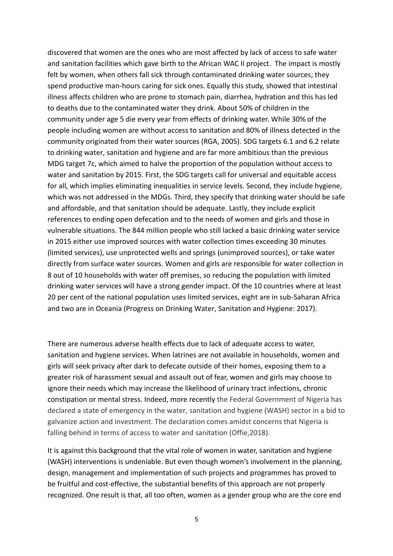discovered that women are the ones who are most affected by lack of access to safe water and sanitation facilities which gave birth to the African WAC II project. The impact is mostly felt by women, when others fall sick through contaminated drinking water sources; they spend productive man-hours caring for sick ones. Equally this study, showed that intestinal illness affects children who are prone to stomach pain, diarrhea, hydration and this has led to deaths due to the contaminated water they drink. About 50% of children in the community under age 5 die every year from effects of drinking water. While 30% of the people including women are without access to sanitation and 80% of illness detected in the community originated from their water sources (RGA, 2005). SDG targets 6.1 and 6.2 relate to drinking water, sanitation and hygiene and are far more ambitious than the previous MDG target 7c, which aimed to halve the proportion of the population without access to water and sanitation by 2015. First, the SDG targets call for universal and equitable access for all, which implies eliminating inequalities in service levels. Second, they include hygiene, which was not addressed in the MDGs. Third, they specify that drinking water should be safe and affordable, and that sanitation should be adequate. Lastly, they include explicit references to ending open defecation and to the needs of women and girls and those in vulnerable situations. The 844 million people who still lacked a basic drinking water service in 2015 either use improved sources with water collection times exceeding 30 minutes (limited services), use unprotected wells and springs (unimproved sources), or take water directly from surface water sources. Women and girls are responsible for water collection in 8 out of 10 households with water off premises, so reducing the population with limited drinking water services will have a strong gender impact. Of the 10 countries where at least 20 per cent of the national population uses limited services, eight are in sub-Saharan Africa and two are in Oceania (Progress on Drinking Water, Sanitation and Hygiene: 2017).

There are numerous adverse health effects due to lack of adequate access to water, sanitation and hygiene services. When latrines are not available in households, women and girls will seek privacy after dark to defecate outside of their homes, exposing them to a greater risk of harassment sexual and assault out of fear, women and girls may choose to ignore their needs which may increase the likelihood of urinary tract infections, chronic constipation or mental stress. Indeed, more recently the Federal Government of Nigeria has declared a state of emergency in the water, sanitation and hygiene (WASH) sector in a bid to galvanize action and investment. The declaration comes amidst concerns that Nigeria is falling behind in terms of access to water and sanitation (Offie,2018).

It is against this background that the vital role of women in water, sanitation and hygiene (WASH) interventions is undeniable. But even though women's involvement in the planning, design, management and implementation of such projects and programmes has proved to be fruitful and cost-effective, the substantial benefits of this approach are not properly recognized. One result is that, all too often, women as a gender group who are the core end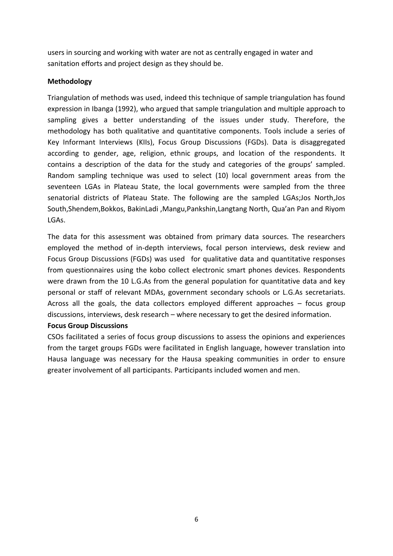users in sourcing and working with water are not as centrally engaged in water and sanitation efforts and project design as they should be.

## **Methodology**

Triangulation of methods was used, indeed this technique of sample triangulation has found expression in Ibanga (1992), who argued that sample triangulation and multiple approach to sampling gives a better understanding of the issues under study. Therefore, the methodology has both qualitative and quantitative components. Tools include a series of Key Informant Interviews (KIIs), Focus Group Discussions (FGDs). Data is disaggregated according to gender, age, religion, ethnic groups, and location of the respondents. It contains a description of the data for the study and categories of the groups' sampled. Random sampling technique was used to select (10) local government areas from the seventeen LGAs in Plateau State, the local governments were sampled from the three senatorial districts of Plateau State. The following are the sampled LGAs;Jos North,Jos South,Shendem,Bokkos, BakinLadi ,Mangu,Pankshin,Langtang North, Qua'an Pan and Riyom LGAs.

The data for this assessment was obtained from primary data sources. The researchers employed the method of in-depth interviews, focal person interviews, desk review and Focus Group Discussions (FGDs) was used for qualitative data and quantitative responses from questionnaires using the kobo collect electronic smart phones devices. Respondents were drawn from the 10 L.G.As from the general population for quantitative data and key personal or staff of relevant MDAs, government secondary schools or L.G.As secretariats. Across all the goals, the data collectors employed different approaches – focus group discussions, interviews, desk research – where necessary to get the desired information.

## **Focus Group Discussions**

CSOs facilitated a series of focus group discussions to assess the opinions and experiences from the target groups FGDs were facilitated in English language, however translation into Hausa language was necessary for the Hausa speaking communities in order to ensure greater involvement of all participants. Participants included women and men.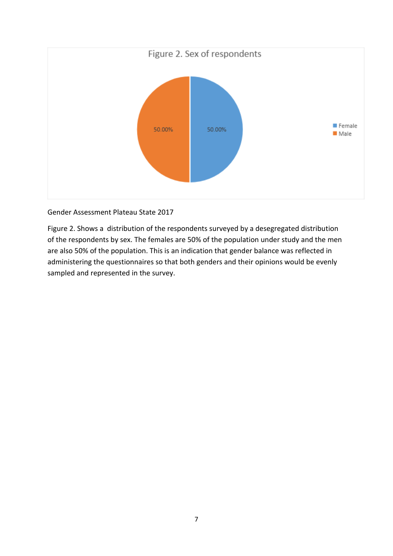

# Gender Assessment Plateau State 2017

Figure 2. Shows a distribution of the respondents surveyed by a desegregated distribution of the respondents by sex. The females are 50% of the population under study and the men are also 50% of the population. This is an indication that gender balance was reflected in administering the questionnaires so that both genders and their opinions would be evenly sampled and represented in the survey.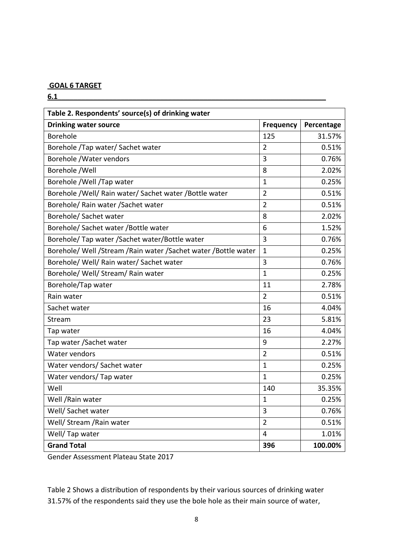## **GOAL 6 TARGET**

**6.1\_\_\_\_\_\_\_\_\_\_\_\_\_\_\_\_\_\_\_\_\_\_\_\_\_\_\_\_\_\_\_\_\_\_\_\_\_\_\_\_\_\_\_\_\_\_\_\_\_\_\_\_\_\_\_\_\_\_\_\_\_\_\_\_\_\_\_\_**

| Table 2. Respondents' source(s) of drinking water              |                  |            |
|----------------------------------------------------------------|------------------|------------|
| <b>Drinking water source</b>                                   | <b>Frequency</b> | Percentage |
| Borehole                                                       | 125              | 31.57%     |
| Borehole / Tap water/ Sachet water                             | $\overline{2}$   | 0.51%      |
| Borehole /Water vendors                                        | $\overline{3}$   | 0.76%      |
| Borehole /Well                                                 | 8                | 2.02%      |
| Borehole / Well / Tap water                                    | $\mathbf{1}$     | 0.25%      |
| Borehole /Well/ Rain water/ Sachet water /Bottle water         | $\overline{2}$   | 0.51%      |
| Borehole/ Rain water / Sachet water                            | $\overline{2}$   | 0.51%      |
| Borehole/ Sachet water                                         | 8                | 2.02%      |
| Borehole/ Sachet water / Bottle water                          | 6                | 1.52%      |
| Borehole/ Tap water / Sachet water/ Bottle water               | 3                | 0.76%      |
| Borehole/ Well /Stream /Rain water /Sachet water /Bottle water | $\mathbf{1}$     | 0.25%      |
| Borehole/ Well/ Rain water/ Sachet water                       | 3                | 0.76%      |
| Borehole/ Well/ Stream/ Rain water                             | $\mathbf{1}$     | 0.25%      |
| Borehole/Tap water                                             | 11               | 2.78%      |
| Rain water                                                     | $\overline{2}$   | 0.51%      |
| Sachet water                                                   | 16               | 4.04%      |
| Stream                                                         | 23               | 5.81%      |
| Tap water                                                      | 16               | 4.04%      |
| Tap water / Sachet water                                       | 9                | 2.27%      |
| Water vendors                                                  | $\overline{2}$   | 0.51%      |
| Water vendors/ Sachet water                                    | $\mathbf{1}$     | 0.25%      |
| Water vendors/ Tap water                                       | $\mathbf{1}$     | 0.25%      |
| Well                                                           | 140              | 35.35%     |
| Well / Rain water                                              | $\mathbf{1}$     | 0.25%      |
| Well/ Sachet water                                             | 3                | 0.76%      |
| Well/ Stream / Rain water                                      | $\overline{2}$   | 0.51%      |
| Well/ Tap water                                                | $\overline{4}$   | 1.01%      |
| <b>Grand Total</b>                                             | 396              | 100.00%    |

Gender Assessment Plateau State 2017

Table 2 Shows a distribution of respondents by their various sources of drinking water 31.57% of the respondents said they use the bole hole as their main source of water,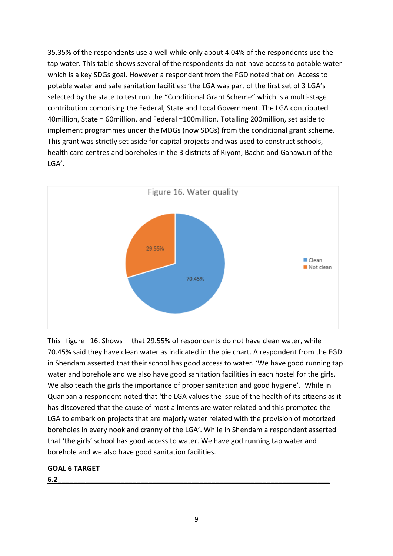35.35% of the respondents use a well while only about 4.04% of the respondents use the tap water. This table shows several of the respondents do not have access to potable water which is a key SDGs goal. However a respondent from the FGD noted that on Access to potable water and safe sanitation facilities: 'the LGA was part of the first set of 3 LGA's selected by the state to test run the "Conditional Grant Scheme" which is a multi-stage contribution comprising the Federal, State and Local Government. The LGA contributed 40million, State = 60million, and Federal =100million. Totalling 200million, set aside to implement programmes under the MDGs (now SDGs) from the conditional grant scheme. This grant was strictly set aside for capital projects and was used to construct schools, health care centres and boreholes in the 3 districts of Riyom, Bachit and Ganawuri of the LGA'.



This figure 16. Shows that 29.55% of respondents do not have clean water, while 70.45% said they have clean water as indicated in the pie chart. A respondent from the FGD in Shendam asserted that their school has good access to water. 'We have good running tap water and borehole and we also have good sanitation facilities in each hostel for the girls. We also teach the girls the importance of proper sanitation and good hygiene'. While in Quanpan a respondent noted that 'the LGA values the issue of the health of its citizens as it has discovered that the cause of most ailments are water related and this prompted the LGA to embark on projects that are majorly water related with the provision of motorized boreholes in every nook and cranny of the LGA'. While in Shendam a respondent asserted that 'the girls' school has good access to water. We have god running tap water and borehole and we also have good sanitation facilities.

# **GOAL 6 TARGET**

**6.2** *comparison in the comparison of the comparison in the comparison of the comparison of the comparison of the comparison of the comparison of the comparison of the comparison of the comparison of the comparison of th*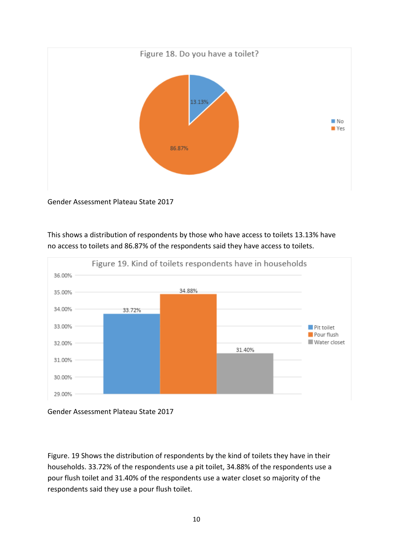

Gender Assessment Plateau State 2017



This shows a distribution of respondents by those who have access to toilets 13.13% have no access to toilets and 86.87% of the respondents said they have access to toilets.

Figure. 19 Shows the distribution of respondents by the kind of toilets they have in their households. 33.72% of the respondents use a pit toilet, 34.88% of the respondents use a pour flush toilet and 31.40% of the respondents use a water closet so majority of the respondents said they use a pour flush toilet.

Gender Assessment Plateau State 2017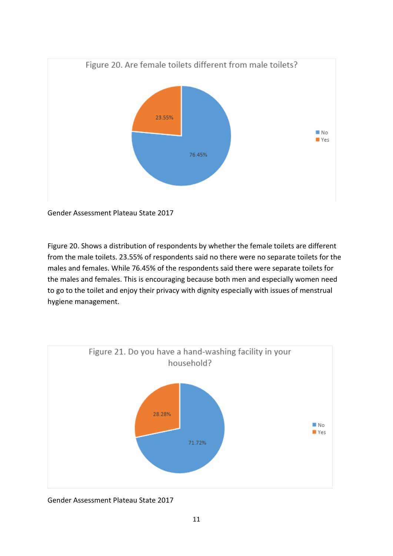

Gender Assessment Plateau State 2017

Figure 20. Shows a distribution of respondents by whether the female toilets are different from the male toilets. 23.55% of respondents said no there were no separate toilets for the males and females. While 76.45% of the respondents said there were separate toilets for the males and females. This is encouraging because both men and especially women need to go to the toilet and enjoy their privacy with dignity especially with issues of menstrual hygiene management.



Gender Assessment Plateau State 2017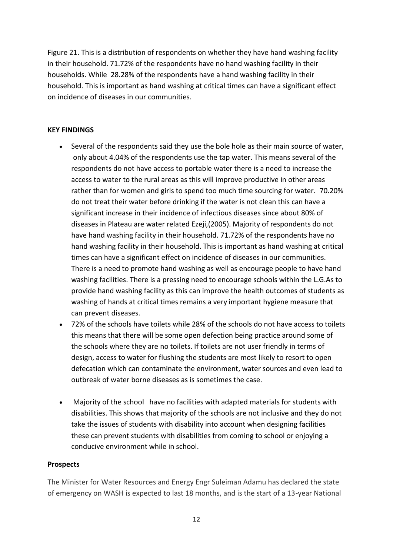Figure 21. This is a distribution of respondents on whether they have hand washing facility in their household. 71.72% of the respondents have no hand washing facility in their households. While 28.28% of the respondents have a hand washing facility in their household. This is important as hand washing at critical times can have a significant effect on incidence of diseases in our communities.

## **KEY FINDINGS**

- Several of the respondents said they use the bole hole as their main source of water, only about 4.04% of the respondents use the tap water. This means several of the respondents do not have access to portable water there is a need to increase the access to water to the rural areas as this will improve productive in other areas rather than for women and girls to spend too much time sourcing for water. 70.20% do not treat their water before drinking if the water is not clean this can have a significant increase in their incidence of infectious diseases since about 80% of diseases in Plateau are water related Ezeji,(2005). Majority of respondents do not have hand washing facility in their household. 71.72% of the respondents have no hand washing facility in their household. This is important as hand washing at critical times can have a significant effect on incidence of diseases in our communities. There is a need to promote hand washing as well as encourage people to have hand washing facilities. There is a pressing need to encourage schools within the L.G.As to provide hand washing facility as this can improve the health outcomes of students as washing of hands at critical times remains a very important hygiene measure that can prevent diseases.
- 72% of the schools have toilets while 28% of the schools do not have access to toilets this means that there will be some open defection being practice around some of the schools where they are no toilets. If toilets are not user friendly in terms of design, access to water for flushing the students are most likely to resort to open defecation which can contaminate the environment, water sources and even lead to outbreak of water borne diseases as is sometimes the case.
- Majority of the school have no facilities with adapted materials for students with disabilities. This shows that majority of the schools are not inclusive and they do not take the issues of students with disability into account when designing facilities these can prevent students with disabilities from coming to school or enjoying a conducive environment while in school.

## **Prospects**

The Minister for Water Resources and Energy Engr Suleiman Adamu has declared the state of emergency on WASH is expected to last 18 months, and is the start of a 13-year National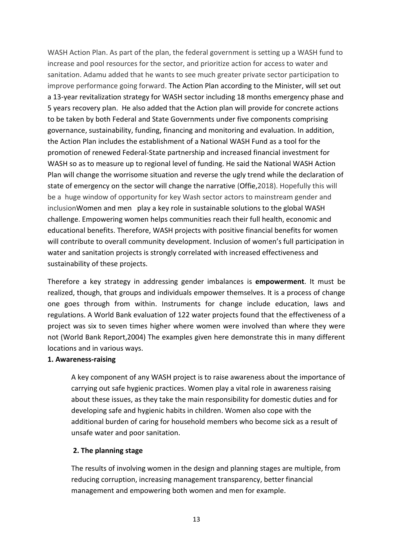WASH Action Plan. As part of the plan, the federal government is setting up a WASH fund to increase and pool resources for the sector, and prioritize action for access to water and sanitation. Adamu added that he wants to see much greater private sector participation to improve performance going forward. The Action Plan according to the Minister, will set out a 13-year revitalization strategy for WASH sector including 18 months emergency phase and 5 years recovery plan. He also added that the Action plan will provide for concrete actions to be taken by both Federal and State Governments under five components comprising governance, sustainability, funding, financing and monitoring and evaluation. In addition, the Action Plan includes the establishment of a National WASH Fund as a tool for the promotion of renewed Federal-State partnership and increased financial investment for WASH so as to measure up to regional level of funding. He said the National WASH Action Plan will change the worrisome situation and reverse the ugly trend while the declaration of state of emergency on the sector will change the narrative (Offie,2018). Hopefully this will be a huge window of opportunity for key Wash sector actors to mainstream gender and inclusionWomen and men play a key role in sustainable solutions to the global WASH challenge. Empowering women helps communities reach their full health, economic and educational benefits. Therefore, WASH projects with positive financial benefits for women will contribute to overall community development. Inclusion of women's full participation in water and sanitation projects is strongly correlated with increased effectiveness and sustainability of these projects.

Therefore a key strategy in addressing gender imbalances is **empowerment**. It must be realized, though, that groups and individuals empower themselves. It is a process of change one goes through from within. Instruments for change include education, laws and regulations. A World Bank evaluation of 122 water projects found that the effectiveness of a project was six to seven times higher where women were involved than where they were not (World Bank Report,2004) The examples given here demonstrate this in many different locations and in various ways.

## **1. Awareness-raising**

A key component of any WASH project is to raise awareness about the importance of carrying out safe hygienic practices. Women play a vital role in awareness raising about these issues, as they take the main responsibility for domestic duties and for developing safe and hygienic habits in children. Women also cope with the additional burden of caring for household members who become sick as a result of unsafe water and poor sanitation.

## **2. The planning stage**

The results of involving women in the design and planning stages are multiple, from reducing corruption, increasing management transparency, better financial management and empowering both women and men for example.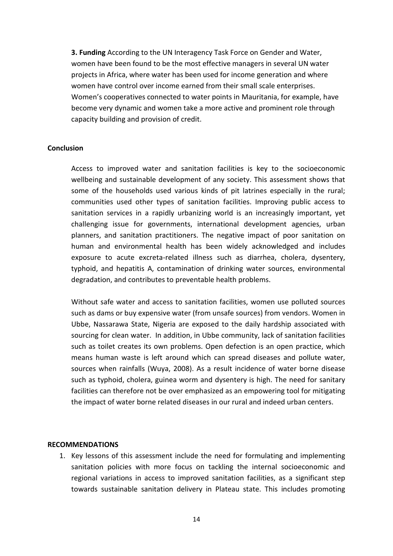**3. Funding** According to the UN Interagency Task Force on Gender and Water, women have been found to be the most effective managers in several UN water projects in Africa, where water has been used for income generation and where women have control over income earned from their small scale enterprises. Women's cooperatives connected to water points in Mauritania, for example, have become very dynamic and women take a more active and prominent role through capacity building and provision of credit.

## **Conclusion**

Access to improved water and sanitation facilities is key to the socioeconomic wellbeing and sustainable development of any society. This assessment shows that some of the households used various kinds of pit latrines especially in the rural; communities used other types of sanitation facilities. Improving public access to sanitation services in a rapidly urbanizing world is an increasingly important, yet challenging issue for governments, international development agencies, urban planners, and sanitation practitioners. The negative impact of poor sanitation on human and environmental health has been widely acknowledged and includes exposure to acute excreta-related illness such as diarrhea, cholera, dysentery, typhoid, and hepatitis A, contamination of drinking water sources, environmental degradation, and contributes to preventable health problems.

Without safe water and access to sanitation facilities, women use polluted sources such as dams or buy expensive water (from unsafe sources) from vendors. Women in Ubbe, Nassarawa State, Nigeria are exposed to the daily hardship associated with sourcing for clean water. In addition, in Ubbe community, lack of sanitation facilities such as toilet creates its own problems. Open defection is an open practice, which means human waste is left around which can spread diseases and pollute water, sources when rainfalls (Wuya, 2008). As a result incidence of water borne disease such as typhoid, cholera, guinea worm and dysentery is high. The need for sanitary facilities can therefore not be over emphasized as an empowering tool for mitigating the impact of water borne related diseases in our rural and indeed urban centers.

#### **RECOMMENDATIONS**

1. Key lessons of this assessment include the need for formulating and implementing sanitation policies with more focus on tackling the internal socioeconomic and regional variations in access to improved sanitation facilities, as a significant step towards sustainable sanitation delivery in Plateau state. This includes promoting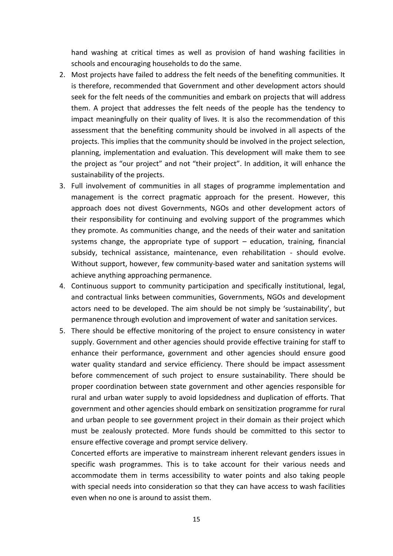hand washing at critical times as well as provision of hand washing facilities in schools and encouraging households to do the same.

- 2. Most projects have failed to address the felt needs of the benefiting communities. It is therefore, recommended that Government and other development actors should seek for the felt needs of the communities and embark on projects that will address them. A project that addresses the felt needs of the people has the tendency to impact meaningfully on their quality of lives. It is also the recommendation of this assessment that the benefiting community should be involved in all aspects of the projects. This implies that the community should be involved in the project selection, planning, implementation and evaluation. This development will make them to see the project as "our project" and not "their project". In addition, it will enhance the sustainability of the projects.
- 3. Full involvement of communities in all stages of programme implementation and management is the correct pragmatic approach for the present. However, this approach does not divest Governments, NGOs and other development actors of their responsibility for continuing and evolving support of the programmes which they promote. As communities change, and the needs of their water and sanitation systems change, the appropriate type of support  $-$  education, training, financial subsidy, technical assistance, maintenance, even rehabilitation - should evolve. Without support, however, few community-based water and sanitation systems will achieve anything approaching permanence.
- 4. Continuous support to community participation and specifically institutional, legal, and contractual links between communities, Governments, NGOs and development actors need to be developed. The aim should be not simply be 'sustainability', but permanence through evolution and improvement of water and sanitation services.
- 5. There should be effective monitoring of the project to ensure consistency in water supply. Government and other agencies should provide effective training for staff to enhance their performance, government and other agencies should ensure good water quality standard and service efficiency. There should be impact assessment before commencement of such project to ensure sustainability. There should be proper coordination between state government and other agencies responsible for rural and urban water supply to avoid lopsidedness and duplication of efforts. That government and other agencies should embark on sensitization programme for rural and urban people to see government project in their domain as their project which must be zealously protected. More funds should be committed to this sector to ensure effective coverage and prompt service delivery.

Concerted efforts are imperative to mainstream inherent relevant genders issues in specific wash programmes. This is to take account for their various needs and accommodate them in terms accessibility to water points and also taking people with special needs into consideration so that they can have access to wash facilities even when no one is around to assist them.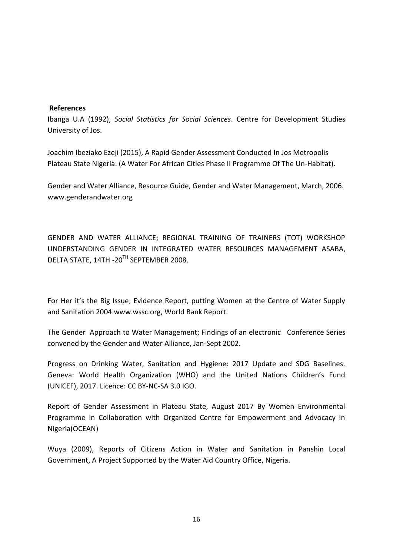### **References**

Ibanga U.A (1992), *Social Statistics for Social Sciences*. Centre for Development Studies University of Jos.

Joachim Ibeziako Ezeji (2015), A Rapid Gender Assessment Conducted In Jos Metropolis Plateau State Nigeria. (A Water For African Cities Phase II Programme Of The Un-Habitat).

Gender and Water Alliance, Resource Guide, Gender and Water Management, March, 2006. www.genderandwater.org

GENDER AND WATER ALLIANCE; REGIONAL TRAINING OF TRAINERS (TOT) WORKSHOP UNDERSTANDING GENDER IN INTEGRATED WATER RESOURCES MANAGEMENT ASABA, DELTA STATE, 14TH -20TH SEPTEMBER 2008.

For Her it's the Big Issue; Evidence Report, putting Women at the Centre of Water Supply and Sanitation 2004.www.wssc.org, World Bank Report.

The Gender Approach to Water Management; Findings of an electronic Conference Series convened by the Gender and Water Alliance, Jan-Sept 2002.

Progress on Drinking Water, Sanitation and Hygiene: 2017 Update and SDG Baselines. Geneva: World Health Organization (WHO) and the United Nations Children's Fund (UNICEF), 2017. Licence: CC BY-NC-SA 3.0 IGO.

Report of Gender Assessment in Plateau State, August 2017 By Women Environmental Programme in Collaboration with Organized Centre for Empowerment and Advocacy in Nigeria(OCEAN)

Wuya (2009), Reports of Citizens Action in Water and Sanitation in Panshin Local Government, A Project Supported by the Water Aid Country Office, Nigeria.